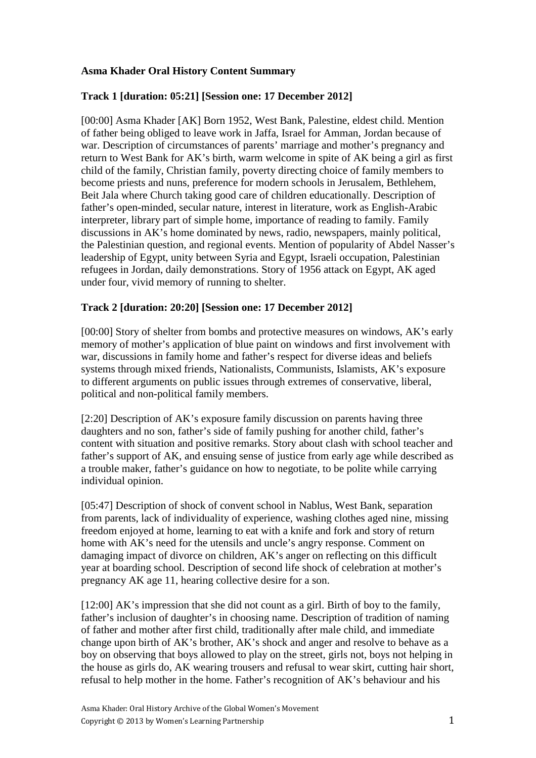# **Asma Khader Oral History Content Summary**

#### **Track 1 [duration: 05:21] [Session one: 17 December 2012]**

[00:00] Asma Khader [AK] Born 1952, West Bank, Palestine, eldest child. Mention of father being obliged to leave work in Jaffa, Israel for Amman, Jordan because of war. Description of circumstances of parents' marriage and mother's pregnancy and return to West Bank for AK's birth, warm welcome in spite of AK being a girl as first child of the family, Christian family, poverty directing choice of family members to become priests and nuns, preference for modern schools in Jerusalem, Bethlehem, Beit Jala where Church taking good care of children educationally. Description of father's open-minded, secular nature, interest in literature, work as English-Arabic interpreter, library part of simple home, importance of reading to family. Family discussions in AK's home dominated by news, radio, newspapers, mainly political, the Palestinian question, and regional events. Mention of popularity of Abdel Nasser's leadership of Egypt, unity between Syria and Egypt, Israeli occupation, Palestinian refugees in Jordan, daily demonstrations. Story of 1956 attack on Egypt, AK aged under four, vivid memory of running to shelter.

#### **Track 2 [duration: 20:20] [Session one: 17 December 2012]**

[00:00] Story of shelter from bombs and protective measures on windows, AK's early memory of mother's application of blue paint on windows and first involvement with war, discussions in family home and father's respect for diverse ideas and beliefs systems through mixed friends, Nationalists, Communists, Islamists, AK's exposure to different arguments on public issues through extremes of conservative, liberal, political and non-political family members.

[2:20] Description of AK's exposure family discussion on parents having three daughters and no son, father's side of family pushing for another child, father's content with situation and positive remarks. Story about clash with school teacher and father's support of AK, and ensuing sense of justice from early age while described as a trouble maker, father's guidance on how to negotiate, to be polite while carrying individual opinion.

[05:47] Description of shock of convent school in Nablus, West Bank, separation from parents, lack of individuality of experience, washing clothes aged nine, missing freedom enjoyed at home, learning to eat with a knife and fork and story of return home with AK's need for the utensils and uncle's angry response. Comment on damaging impact of divorce on children, AK's anger on reflecting on this difficult year at boarding school. Description of second life shock of celebration at mother's pregnancy AK age 11, hearing collective desire for a son.

[12:00] AK's impression that she did not count as a girl. Birth of boy to the family, father's inclusion of daughter's in choosing name. Description of tradition of naming of father and mother after first child, traditionally after male child, and immediate change upon birth of AK's brother, AK's shock and anger and resolve to behave as a boy on observing that boys allowed to play on the street, girls not, boys not helping in the house as girls do, AK wearing trousers and refusal to wear skirt, cutting hair short, refusal to help mother in the home. Father's recognition of AK's behaviour and his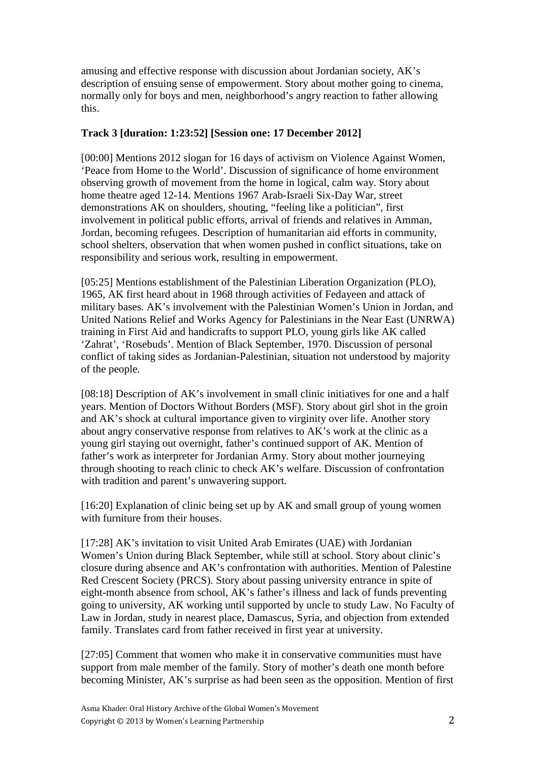amusing and effective response with discussion about Jordanian society, AK's description of ensuing sense of empowerment. Story about mother going to cinema, normally only for boys and men, neighborhood's angry reaction to father allowing this.

# **Track 3 [duration: 1:23:52] [Session one: 17 December 2012]**

[00:00] Mentions 2012 slogan for 16 days of activism on Violence Against Women, 'Peace from Home to the World'. Discussion of significance of home environment observing growth of movement from the home in logical, calm way. Story about home theatre aged 12-14. Mentions 1967 Arab-Israeli Six-Day War, street demonstrations AK on shoulders, shouting, "feeling like a politician", first involvement in political public efforts, arrival of friends and relatives in Amman, Jordan, becoming refugees. Description of humanitarian aid efforts in community, school shelters, observation that when women pushed in conflict situations, take on responsibility and serious work, resulting in empowerment.

[05:25] Mentions establishment of the Palestinian Liberation Organization (PLO), 1965, AK first heard about in 1968 through activities of Fedayeen and attack of military bases. AK's involvement with the Palestinian Women's Union in Jordan, and United Nations Relief and Works Agency for Palestinians in the Near East (UNRWA) training in First Aid and handicrafts to support PLO, young girls like AK called 'Zahrat', 'Rosebuds'. Mention of Black September, 1970. Discussion of personal conflict of taking sides as Jordanian-Palestinian, situation not understood by majority of the people.

[08:18] Description of AK's involvement in small clinic initiatives for one and a half years. Mention of Doctors Without Borders (MSF). Story about girl shot in the groin and AK's shock at cultural importance given to virginity over life. Another story about angry conservative response from relatives to AK's work at the clinic as a young girl staying out overnight, father's continued support of AK. Mention of father's work as interpreter for Jordanian Army. Story about mother journeying through shooting to reach clinic to check AK's welfare. Discussion of confrontation with tradition and parent's unwavering support.

[16:20] Explanation of clinic being set up by AK and small group of young women with furniture from their houses.

[17:28] AK's invitation to visit United Arab Emirates (UAE) with Jordanian Women's Union during Black September, while still at school. Story about clinic's closure during absence and AK's confrontation with authorities. Mention of Palestine Red Crescent Society (PRCS). Story about passing university entrance in spite of eight-month absence from school, AK's father's illness and lack of funds preventing going to university, AK working until supported by uncle to study Law. No Faculty of Law in Jordan, study in nearest place, Damascus, Syria, and objection from extended family. Translates card from father received in first year at university.

[27:05] Comment that women who make it in conservative communities must have support from male member of the family. Story of mother's death one month before becoming Minister, AK's surprise as had been seen as the opposition. Mention of first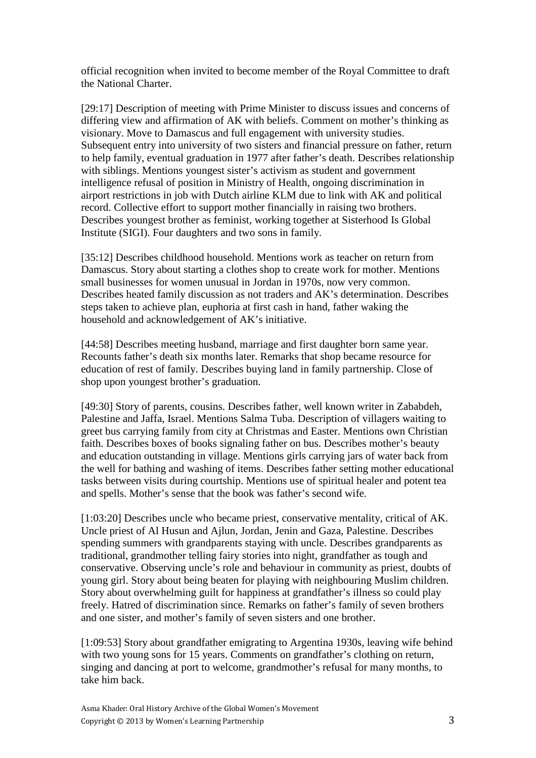official recognition when invited to become member of the Royal Committee to draft the National Charter.

[29:17] Description of meeting with Prime Minister to discuss issues and concerns of differing view and affirmation of AK with beliefs. Comment on mother's thinking as visionary. Move to Damascus and full engagement with university studies. Subsequent entry into university of two sisters and financial pressure on father, return to help family, eventual graduation in 1977 after father's death. Describes relationship with siblings. Mentions youngest sister's activism as student and government intelligence refusal of position in Ministry of Health, ongoing discrimination in airport restrictions in job with Dutch airline KLM due to link with AK and political record. Collective effort to support mother financially in raising two brothers. Describes youngest brother as feminist, working together at Sisterhood Is Global Institute (SIGI). Four daughters and two sons in family.

[35:12] Describes childhood household. Mentions work as teacher on return from Damascus. Story about starting a clothes shop to create work for mother. Mentions small businesses for women unusual in Jordan in 1970s, now very common. Describes heated family discussion as not traders and AK's determination. Describes steps taken to achieve plan, euphoria at first cash in hand, father waking the household and acknowledgement of AK's initiative.

[44:58] Describes meeting husband, marriage and first daughter born same year. Recounts father's death six months later. Remarks that shop became resource for education of rest of family. Describes buying land in family partnership. Close of shop upon youngest brother's graduation.

[49:30] Story of parents, cousins. Describes father, well known writer in Zababdeh, Palestine and Jaffa, Israel. Mentions Salma Tuba. Description of villagers waiting to greet bus carrying family from city at Christmas and Easter. Mentions own Christian faith. Describes boxes of books signaling father on bus. Describes mother's beauty and education outstanding in village. Mentions girls carrying jars of water back from the well for bathing and washing of items. Describes father setting mother educational tasks between visits during courtship. Mentions use of spiritual healer and potent tea and spells. Mother's sense that the book was father's second wife.

[1:03:20] Describes uncle who became priest, conservative mentality, critical of AK. Uncle priest of Al Husun and Ajlun, Jordan, Jenin and Gaza, Palestine. Describes spending summers with grandparents staying with uncle. Describes grandparents as traditional, grandmother telling fairy stories into night, grandfather as tough and conservative. Observing uncle's role and behaviour in community as priest, doubts of young girl. Story about being beaten for playing with neighbouring Muslim children. Story about overwhelming guilt for happiness at grandfather's illness so could play freely. Hatred of discrimination since. Remarks on father's family of seven brothers and one sister, and mother's family of seven sisters and one brother.

[1:09:53] Story about grandfather emigrating to Argentina 1930s, leaving wife behind with two young sons for 15 years. Comments on grandfather's clothing on return, singing and dancing at port to welcome, grandmother's refusal for many months, to take him back.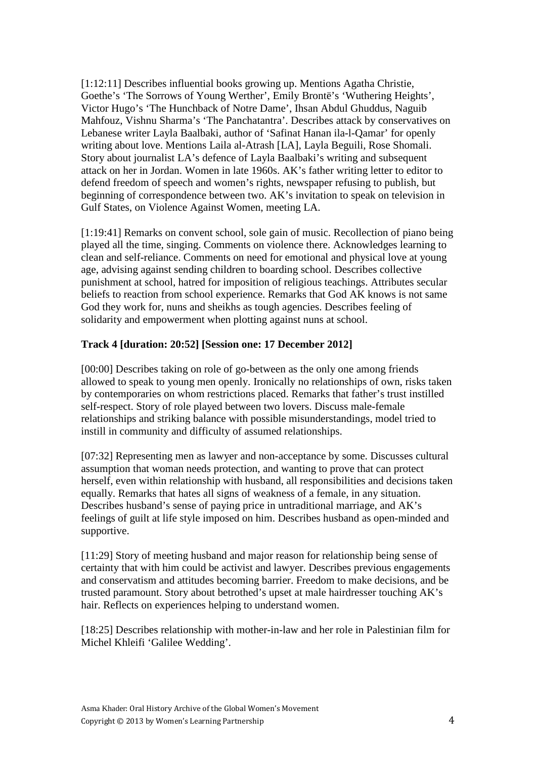[1:12:11] Describes influential books growing up. Mentions Agatha Christie, Goethe's 'The Sorrows of Young Werther', Emily Brontë's 'Wuthering Heights', Victor Hugo's 'The Hunchback of Notre Dame', Ihsan Abdul Ghuddus, Naguib Mahfouz, Vishnu Sharma's 'The Panchatantra'. Describes attack by conservatives on Lebanese writer Layla Baalbaki, author of 'Safinat Hanan ila-l-Qamar' for openly writing about love. Mentions Laila al-Atrash [LA], Layla Beguili, Rose Shomali. Story about journalist LA's defence of Layla Baalbaki's writing and subsequent attack on her in Jordan. Women in late 1960s. AK's father writing letter to editor to defend freedom of speech and women's rights, newspaper refusing to publish, but beginning of correspondence between two. AK's invitation to speak on television in Gulf States, on Violence Against Women, meeting LA.

[1:19:41] Remarks on convent school, sole gain of music. Recollection of piano being played all the time, singing. Comments on violence there. Acknowledges learning to clean and self-reliance. Comments on need for emotional and physical love at young age, advising against sending children to boarding school. Describes collective punishment at school, hatred for imposition of religious teachings. Attributes secular beliefs to reaction from school experience. Remarks that God AK knows is not same God they work for, nuns and sheikhs as tough agencies. Describes feeling of solidarity and empowerment when plotting against nuns at school.

#### **Track 4 [duration: 20:52] [Session one: 17 December 2012]**

[00:00] Describes taking on role of go-between as the only one among friends allowed to speak to young men openly. Ironically no relationships of own, risks taken by contemporaries on whom restrictions placed. Remarks that father's trust instilled self-respect. Story of role played between two lovers. Discuss male-female relationships and striking balance with possible misunderstandings, model tried to instill in community and difficulty of assumed relationships.

[07:32] Representing men as lawyer and non-acceptance by some. Discusses cultural assumption that woman needs protection, and wanting to prove that can protect herself, even within relationship with husband, all responsibilities and decisions taken equally. Remarks that hates all signs of weakness of a female, in any situation. Describes husband's sense of paying price in untraditional marriage, and AK's feelings of guilt at life style imposed on him. Describes husband as open-minded and supportive.

[11:29] Story of meeting husband and major reason for relationship being sense of certainty that with him could be activist and lawyer. Describes previous engagements and conservatism and attitudes becoming barrier. Freedom to make decisions, and be trusted paramount. Story about betrothed's upset at male hairdresser touching AK's hair. Reflects on experiences helping to understand women.

[18:25] Describes relationship with mother-in-law and her role in Palestinian film for Michel Khleifi 'Galilee Wedding'.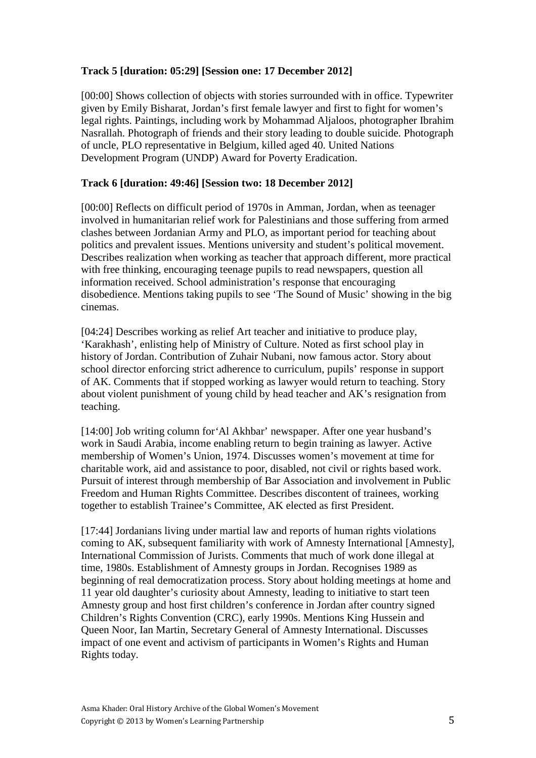# **Track 5 [duration: 05:29] [Session one: 17 December 2012]**

[00:00] Shows collection of objects with stories surrounded with in office. Typewriter given by Emily Bisharat, Jordan's first female lawyer and first to fight for women's legal rights. Paintings, including work by Mohammad Aljaloos, photographer Ibrahim Nasrallah. Photograph of friends and their story leading to double suicide. Photograph of uncle, PLO representative in Belgium, killed aged 40. United Nations Development Program (UNDP) Award for Poverty Eradication.

# **Track 6 [duration: 49:46] [Session two: 18 December 2012]**

[00:00] Reflects on difficult period of 1970s in Amman, Jordan, when as teenager involved in humanitarian relief work for Palestinians and those suffering from armed clashes between Jordanian Army and PLO, as important period for teaching about politics and prevalent issues. Mentions university and student's political movement. Describes realization when working as teacher that approach different, more practical with free thinking, encouraging teenage pupils to read newspapers, question all information received. School administration's response that encouraging disobedience. Mentions taking pupils to see 'The Sound of Music' showing in the big cinemas.

[04:24] Describes working as relief Art teacher and initiative to produce play, 'Karakhash', enlisting help of Ministry of Culture. Noted as first school play in history of Jordan. Contribution of Zuhair Nubani, now famous actor. Story about school director enforcing strict adherence to curriculum, pupils' response in support of AK. Comments that if stopped working as lawyer would return to teaching. Story about violent punishment of young child by head teacher and AK's resignation from teaching.

[14:00] Job writing column for*'*Al Akhbar' newspaper. After one year husband's work in Saudi Arabia, income enabling return to begin training as lawyer. Active membership of Women's Union, 1974. Discusses women's movement at time for charitable work, aid and assistance to poor, disabled, not civil or rights based work. Pursuit of interest through membership of Bar Association and involvement in Public Freedom and Human Rights Committee. Describes discontent of trainees, working together to establish Trainee's Committee, AK elected as first President.

[17:44] Jordanians living under martial law and reports of human rights violations coming to AK, subsequent familiarity with work of Amnesty International [Amnesty], International Commission of Jurists. Comments that much of work done illegal at time, 1980s. Establishment of Amnesty groups in Jordan. Recognises 1989 as beginning of real democratization process. Story about holding meetings at home and 11 year old daughter's curiosity about Amnesty, leading to initiative to start teen Amnesty group and host first children's conference in Jordan after country signed Children's Rights Convention (CRC), early 1990s. Mentions King Hussein and Queen Noor, Ian Martin, Secretary General of Amnesty International. Discusses impact of one event and activism of participants in Women's Rights and Human Rights today.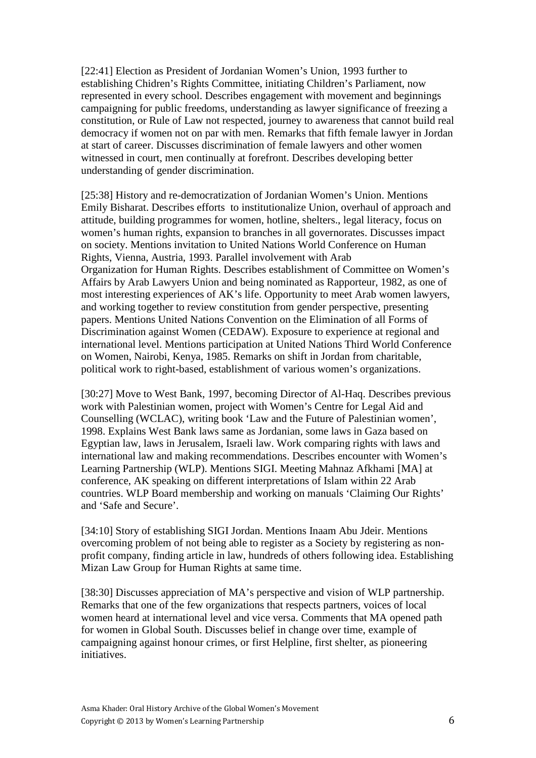[22:41] Election as President of Jordanian Women's Union, 1993 further to establishing Chidren's Rights Committee, initiating Children's Parliament, now represented in every school. Describes engagement with movement and beginnings campaigning for public freedoms, understanding as lawyer significance of freezing a constitution, or Rule of Law not respected, journey to awareness that cannot build real democracy if women not on par with men. Remarks that fifth female lawyer in Jordan at start of career. Discusses discrimination of female lawyers and other women witnessed in court, men continually at forefront. Describes developing better understanding of gender discrimination.

[25:38] History and re-democratization of Jordanian Women's Union. Mentions Emily Bisharat. Describes efforts to institutionalize Union, overhaul of approach and attitude, building programmes for women, hotline, shelters., legal literacy, focus on women's human rights, expansion to branches in all governorates. Discusses impact on society. Mentions invitation to United Nations World Conference on Human Rights, Vienna, Austria, 1993. Parallel involvement with Arab Organization for Human Rights. Describes establishment of Committee on Women's Affairs by Arab Lawyers Union and being nominated as Rapporteur, 1982, as one of most interesting experiences of AK's life. Opportunity to meet Arab women lawyers, and working together to review constitution from gender perspective, presenting papers. Mentions United Nations Convention on the Elimination of all Forms of Discrimination against Women (CEDAW). Exposure to experience at regional and international level. Mentions participation at United Nations Third World Conference on Women, Nairobi, Kenya, 1985. Remarks on shift in Jordan from charitable, political work to right-based, establishment of various women's organizations.

[30:27] Move to West Bank, 1997, becoming Director of Al-Haq. Describes previous work with Palestinian women, project with Women's Centre for Legal Aid and Counselling (WCLAC), writing book 'Law and the Future of Palestinian women', 1998. Explains West Bank laws same as Jordanian, some laws in Gaza based on Egyptian law, laws in Jerusalem, Israeli law. Work comparing rights with laws and international law and making recommendations. Describes encounter with Women's Learning Partnership (WLP). Mentions SIGI. Meeting Mahnaz Afkhami [MA] at conference, AK speaking on different interpretations of Islam within 22 Arab countries. WLP Board membership and working on manuals 'Claiming Our Rights' and 'Safe and Secure'.

[34:10] Story of establishing SIGI Jordan. Mentions Inaam Abu Jdeir. Mentions overcoming problem of not being able to register as a Society by registering as nonprofit company, finding article in law, hundreds of others following idea. Establishing Mizan Law Group for Human Rights at same time.

[38:30] Discusses appreciation of MA's perspective and vision of WLP partnership. Remarks that one of the few organizations that respects partners, voices of local women heard at international level and vice versa. Comments that MA opened path for women in Global South. Discusses belief in change over time, example of campaigning against honour crimes, or first Helpline, first shelter, as pioneering initiatives.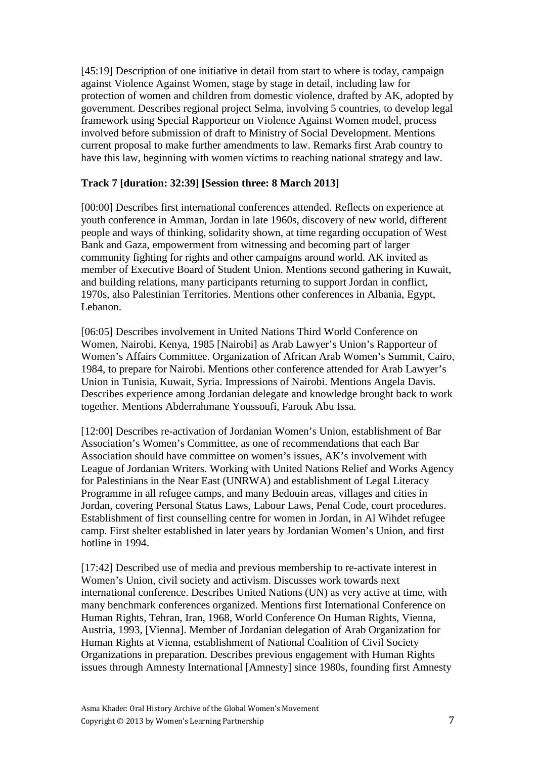[45:19] Description of one initiative in detail from start to where is today, campaign against Violence Against Women, stage by stage in detail, including law for protection of women and children from domestic violence, drafted by AK, adopted by government. Describes regional project Selma, involving 5 countries, to develop legal framework using Special Rapporteur on Violence Against Women model, process involved before submission of draft to Ministry of Social Development. Mentions current proposal to make further amendments to law. Remarks first Arab country to have this law, beginning with women victims to reaching national strategy and law.

# **Track 7 [duration: 32:39] [Session three: 8 March 2013]**

[00:00] Describes first international conferences attended. Reflects on experience at youth conference in Amman, Jordan in late 1960s, discovery of new world, different people and ways of thinking, solidarity shown, at time regarding occupation of West Bank and Gaza, empowerment from witnessing and becoming part of larger community fighting for rights and other campaigns around world. AK invited as member of Executive Board of Student Union. Mentions second gathering in Kuwait, and building relations, many participants returning to support Jordan in conflict, 1970s, also Palestinian Territories. Mentions other conferences in Albania, Egypt, Lebanon.

[06:05] Describes involvement in United Nations Third World Conference on Women, Nairobi, Kenya, 1985 [Nairobi] as Arab Lawyer's Union's Rapporteur of Women's Affairs Committee. Organization of African Arab Women's Summit, Cairo, 1984, to prepare for Nairobi. Mentions other conference attended for Arab Lawyer's Union in Tunisia, Kuwait, Syria. Impressions of Nairobi. Mentions Angela Davis. Describes experience among Jordanian delegate and knowledge brought back to work together. Mentions Abderrahmane Youssoufi, Farouk Abu Issa.

[12:00] Describes re-activation of Jordanian Women's Union, establishment of Bar Association's Women's Committee, as one of recommendations that each Bar Association should have committee on women's issues, AK's involvement with League of Jordanian Writers. Working with United Nations Relief and Works Agency for Palestinians in the Near East (UNRWA) and establishment of Legal Literacy Programme in all refugee camps, and many Bedouin areas, villages and cities in Jordan, covering Personal Status Laws, Labour Laws, Penal Code, court procedures. Establishment of first counselling centre for women in Jordan, in Al Wihdet refugee camp. First shelter established in later years by Jordanian Women's Union, and first hotline in 1994.

[17:42] Described use of media and previous membership to re-activate interest in Women's Union, civil society and activism. Discusses work towards next international conference. Describes United Nations (UN) as very active at time, with many benchmark conferences organized. Mentions first International Conference on Human Rights, Tehran, Iran, 1968, World Conference On Human Rights, Vienna, Austria, 1993, [Vienna]. Member of Jordanian delegation of Arab Organization for Human Rights at Vienna, establishment of National Coalition of Civil Society Organizations in preparation. Describes previous engagement with Human Rights issues through Amnesty International [Amnesty] since 1980s, founding first Amnesty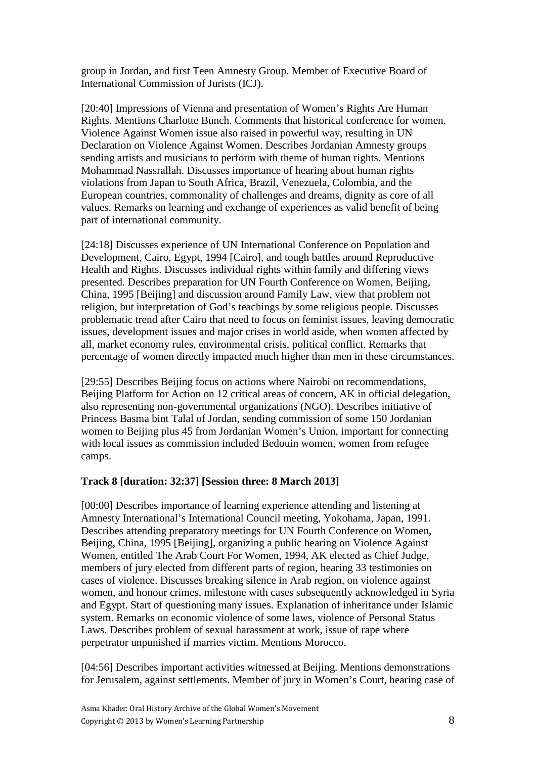group in Jordan, and first Teen Amnesty Group. Member of Executive Board of International Commission of Jurists (ICJ).

[20:40] Impressions of Vienna and presentation of Women's Rights Are Human Rights. Mentions Charlotte Bunch. Comments that historical conference for women. Violence Against Women issue also raised in powerful way, resulting in UN Declaration on Violence Against Women. Describes Jordanian Amnesty groups sending artists and musicians to perform with theme of human rights. Mentions Mohammad Nassrallah. Discusses importance of hearing about human rights violations from Japan to South Africa, Brazil, Venezuela, Colombia, and the European countries, commonality of challenges and dreams, dignity as core of all values. Remarks on learning and exchange of experiences as valid benefit of being part of international community.

[24:18] Discusses experience of UN International Conference on Population and Development, Cairo, Egypt, 1994 [Cairo], and tough battles around Reproductive Health and Rights. Discusses individual rights within family and differing views presented. Describes preparation for UN Fourth Conference on Women, Beijing, China, 1995 [Beijing] and discussion around Family Law, view that problem not religion, but interpretation of God's teachings by some religious people. Discusses problematic trend after Cairo that need to focus on feminist issues, leaving democratic issues, development issues and major crises in world aside, when women affected by all, market economy rules, environmental crisis, political conflict. Remarks that percentage of women directly impacted much higher than men in these circumstances.

[29:55] Describes Beijing focus on actions where Nairobi on recommendations, Beijing Platform for Action on 12 critical areas of concern, AK in official delegation, also representing non-governmental organizations (NGO). Describes initiative of Princess Basma bint Talal of Jordan, sending commission of some 150 Jordanian women to Beijing plus 45 from Jordanian Women's Union, important for connecting with local issues as commission included Bedouin women, women from refugee camps.

#### **Track 8 [duration: 32:37] [Session three: 8 March 2013]**

[00:00] Describes importance of learning experience attending and listening at Amnesty International's International Council meeting, Yokohama, Japan, 1991. Describes attending preparatory meetings for UN Fourth Conference on Women, Beijing, China, 1995 [Beijing], organizing a public hearing on Violence Against Women, entitled The Arab Court For Women, 1994, AK elected as Chief Judge, members of jury elected from different parts of region, hearing 33 testimonies on cases of violence. Discusses breaking silence in Arab region, on violence against women, and honour crimes, milestone with cases subsequently acknowledged in Syria and Egypt. Start of questioning many issues. Explanation of inheritance under Islamic system. Remarks on economic violence of some laws, violence of Personal Status Laws. Describes problem of sexual harassment at work, issue of rape where perpetrator unpunished if marries victim. Mentions Morocco.

[04:56] Describes important activities witnessed at Beijing. Mentions demonstrations for Jerusalem, against settlements. Member of jury in Women's Court, hearing case of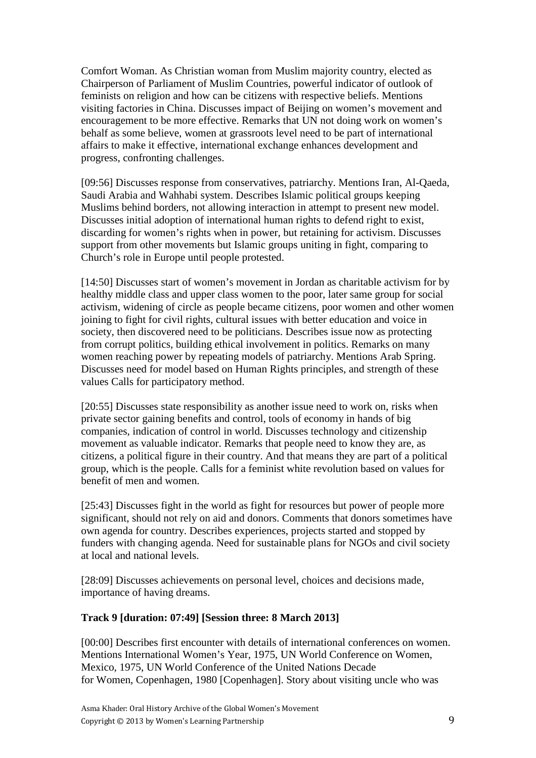Comfort Woman. As Christian woman from Muslim majority country, elected as Chairperson of Parliament of Muslim Countries, powerful indicator of outlook of feminists on religion and how can be citizens with respective beliefs. Mentions visiting factories in China. Discusses impact of Beijing on women's movement and encouragement to be more effective. Remarks that UN not doing work on women's behalf as some believe, women at grassroots level need to be part of international affairs to make it effective, international exchange enhances development and progress, confronting challenges.

[09:56] Discusses response from conservatives, patriarchy. Mentions Iran, Al-Qaeda, Saudi Arabia and Wahhabi system. Describes Islamic political groups keeping Muslims behind borders, not allowing interaction in attempt to present new model. Discusses initial adoption of international human rights to defend right to exist, discarding for women's rights when in power, but retaining for activism. Discusses support from other movements but Islamic groups uniting in fight, comparing to Church's role in Europe until people protested.

[14:50] Discusses start of women's movement in Jordan as charitable activism for by healthy middle class and upper class women to the poor, later same group for social activism, widening of circle as people became citizens, poor women and other women joining to fight for civil rights, cultural issues with better education and voice in society, then discovered need to be politicians. Describes issue now as protecting from corrupt politics, building ethical involvement in politics. Remarks on many women reaching power by repeating models of patriarchy. Mentions Arab Spring. Discusses need for model based on Human Rights principles, and strength of these values Calls for participatory method.

[20:55] Discusses state responsibility as another issue need to work on, risks when private sector gaining benefits and control, tools of economy in hands of big companies, indication of control in world. Discusses technology and citizenship movement as valuable indicator. Remarks that people need to know they are, as citizens, a political figure in their country. And that means they are part of a political group, which is the people. Calls for a feminist white revolution based on values for benefit of men and women.

[25:43] Discusses fight in the world as fight for resources but power of people more significant, should not rely on aid and donors. Comments that donors sometimes have own agenda for country. Describes experiences, projects started and stopped by funders with changing agenda. Need for sustainable plans for NGOs and civil society at local and national levels.

[28:09] Discusses achievements on personal level, choices and decisions made, importance of having dreams.

### **Track 9 [duration: 07:49] [Session three: 8 March 2013]**

[00:00] Describes first encounter with details of international conferences on women. Mentions International Women's Year, 1975, UN World Conference on Women, Mexico, 1975, UN World Conference of the United Nations Decade for Women, Copenhagen, 1980 [Copenhagen]. Story about visiting uncle who was